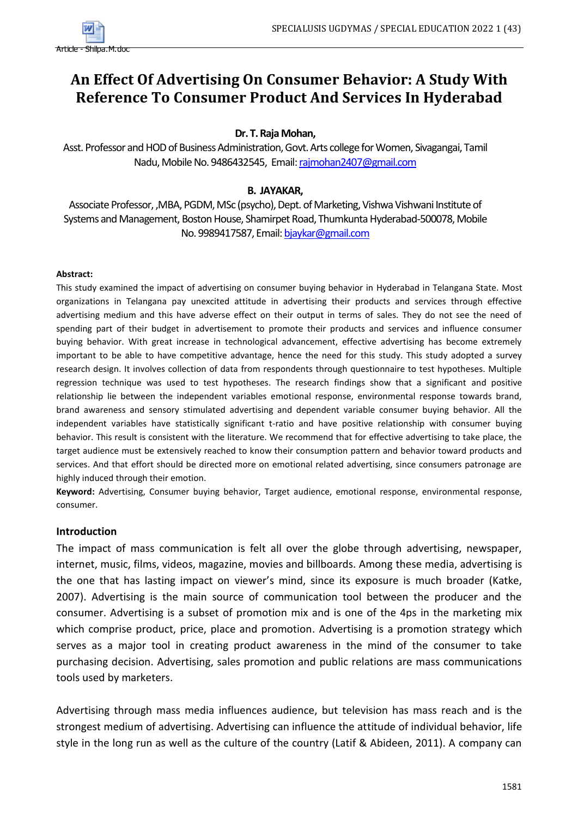

# **An Effect Of Advertising On Consumer Behavior: A Study With Reference To Consumer Product And Services In Hyderabad**

## **Dr. T. Raja Mohan,**

Asst. Professor and HOD of Business Administration, Govt. Arts college for Women, Sivagangai, Tamil Nadu, Mobile No. 9486432545, Email[: rajmohan2407@gmail.com](mailto:rajmohan2407@gmail.com)

## **B. JAYAKAR,**

Associate Professor, ,MBA, PGDM, MSc (psycho), Dept. of Marketing, Vishwa Vishwani Institute of Systems and Management, Boston House, Shamirpet Road, Thumkunta Hyderabad-500078, Mobile No. 9989417587, Email[: bjaykar@gmail.com](mailto:bjaykar@gmail.com)

#### **Abstract:**

The Hamiltonian Constitute Constitute Constitute Constitute Constitute Constitute Constitute Constitute Constitute Constitute Constitute Constitute Constitute Constitute Constitute Constitute Constitute Constitute Constitu This study examined the impact of advertising on consumer buying behavior in Hyderabad in Telangana State. Most organizations in Telangana pay unexcited attitude in advertising their products and services through effective advertising medium and this have adverse effect on their output in terms of sales. They do not see the need of spending part of their budget in advertisement to promote their products and services and influence consumer buying behavior. With great increase in technological advancement, effective advertising has become extremely important to be able to have competitive advantage, hence the need for this study. This study adopted a survey research design. It involves collection of data from respondents through questionnaire to test hypotheses. Multiple regression technique was used to test hypotheses. The research findings show that a significant and positive relationship lie between the independent variables emotional response, environmental response towards brand, brand awareness and sensory stimulated advertising and dependent variable consumer buying behavior. All the independent variables have statistically significant t-ratio and have positive relationship with consumer buying behavior. This result is consistent with the literature. We recommend that for effective advertising to take place, the target audience must be extensively reached to know their consumption pattern and behavior toward products and services. And that effort should be directed more on emotional related advertising, since consumers patronage are highly induced through their emotion.

**Keyword:** Advertising, Consumer buying behavior, Target audience, emotional response, environmental response, consumer.

## **Introduction**

The impact of mass communication is felt all over the globe through advertising, newspaper, internet, music, films, videos, magazine, movies and billboards. Among these media, advertising is the one that has lasting impact on viewer's mind, since its exposure is much broader (Katke, 2007). Advertising is the main source of communication tool between the producer and the consumer. Advertising is a subset of promotion mix and is one of the 4ps in the marketing mix which comprise product, price, place and promotion. Advertising is a promotion strategy which serves as a major tool in creating product awareness in the mind of the consumer to take purchasing decision. Advertising, sales promotion and public relations are mass communications tools used by marketers.

Advertising through mass media influences audience, but television has mass reach and is the strongest medium of advertising. Advertising can influence the attitude of individual behavior, life style in the long run as well as the culture of the country (Latif & Abideen, 2011). A company can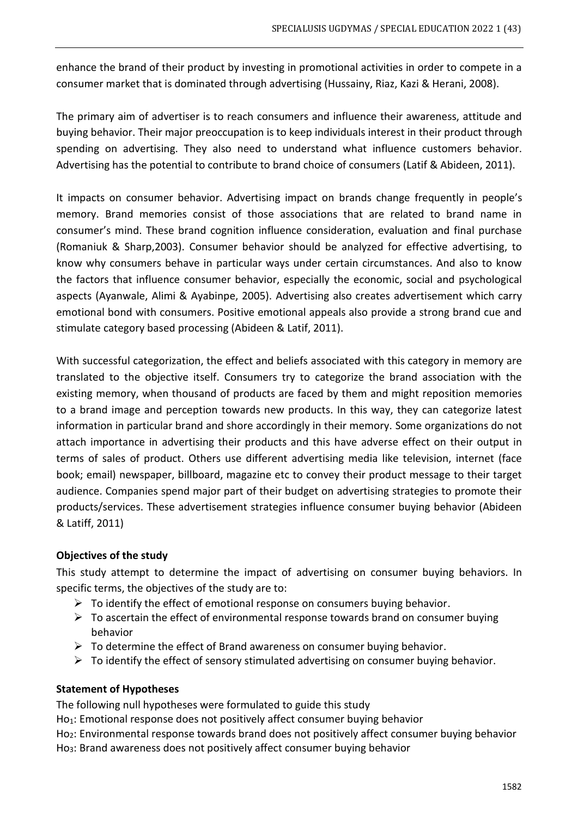enhance the brand of their product by investing in promotional activities in order to compete in a consumer market that is dominated through advertising (Hussainy, Riaz, Kazi & Herani, 2008).

The primary aim of advertiser is to reach consumers and influence their awareness, attitude and buying behavior. Their major preoccupation is to keep individuals interest in their product through spending on advertising. They also need to understand what influence customers behavior. Advertising has the potential to contribute to brand choice of consumers (Latif & Abideen, 2011).

It impacts on consumer behavior. Advertising impact on brands change frequently in people's memory. Brand memories consist of those associations that are related to brand name in consumer's mind. These brand cognition influence consideration, evaluation and final purchase (Romaniuk & Sharp,2003). Consumer behavior should be analyzed for effective advertising, to know why consumers behave in particular ways under certain circumstances. And also to know the factors that influence consumer behavior, especially the economic, social and psychological aspects (Ayanwale, Alimi & Ayabinpe, 2005). Advertising also creates advertisement which carry emotional bond with consumers. Positive emotional appeals also provide a strong brand cue and stimulate category based processing (Abideen & Latif, 2011).

With successful categorization, the effect and beliefs associated with this category in memory are translated to the objective itself. Consumers try to categorize the brand association with the existing memory, when thousand of products are faced by them and might reposition memories to a brand image and perception towards new products. In this way, they can categorize latest information in particular brand and shore accordingly in their memory. Some organizations do not attach importance in advertising their products and this have adverse effect on their output in terms of sales of product. Others use different advertising media like television, internet (face book; email) newspaper, billboard, magazine etc to convey their product message to their target audience. Companies spend major part of their budget on advertising strategies to promote their products/services. These advertisement strategies influence consumer buying behavior (Abideen & Latiff, 2011)

## **Objectives of the study**

This study attempt to determine the impact of advertising on consumer buying behaviors. In specific terms, the objectives of the study are to:

- $\triangleright$  To identify the effect of emotional response on consumers buying behavior.
- $\triangleright$  To ascertain the effect of environmental response towards brand on consumer buying behavior
- $\triangleright$  To determine the effect of Brand awareness on consumer buying behavior.
- $\triangleright$  To identify the effect of sensory stimulated advertising on consumer buying behavior.

## **Statement of Hypotheses**

The following null hypotheses were formulated to guide this study

Ho<sub>1</sub>: Emotional response does not positively affect consumer buying behavior

Ho<sub>2</sub>: Environmental response towards brand does not positively affect consumer buying behavior Ho3: Brand awareness does not positively affect consumer buying behavior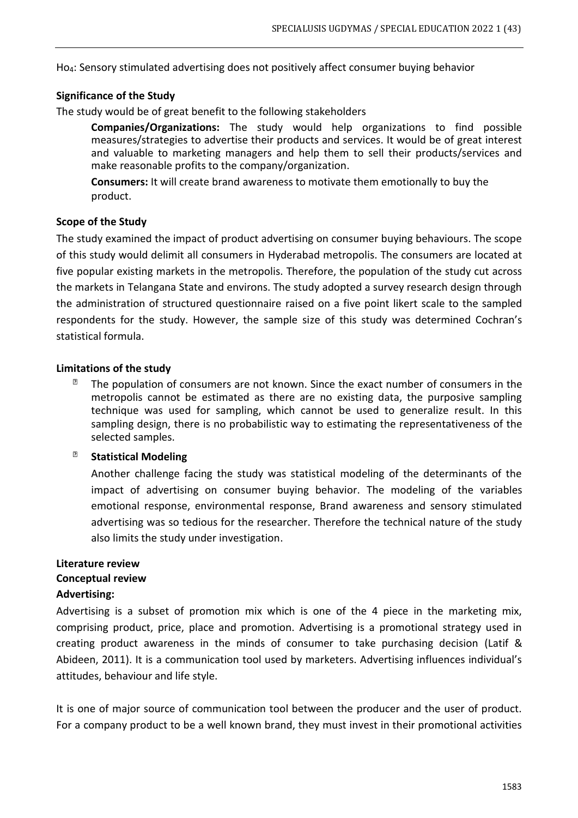Ho4: Sensory stimulated advertising does not positively affect consumer buying behavior

#### **Significance of the Study**

The study would be of great benefit to the following stakeholders

**Companies/Organizations:** The study would help organizations to find possible measures/strategies to advertise their products and services. It would be of great interest and valuable to marketing managers and help them to sell their products/services and make reasonable profits to the company/organization.

**Consumers:** It will create brand awareness to motivate them emotionally to buy the product.

#### **Scope of the Study**

The study examined the impact of product advertising on consumer buying behaviours. The scope of this study would delimit all consumers in Hyderabad metropolis. The consumers are located at five popular existing markets in the metropolis. Therefore, the population of the study cut across the markets in Telangana State and environs. The study adopted a survey research design through the administration of structured questionnaire raised on a five point likert scale to the sampled respondents for the study. However, the sample size of this study was determined Cochran's statistical formula.

#### **Limitations of the study**

 $\overline{2}$ The population of consumers are not known. Since the exact number of consumers in the metropolis cannot be estimated as there are no existing data, the purposive sampling technique was used for sampling, which cannot be used to generalize result. In this sampling design, there is no probabilistic way to estimating the representativeness of the selected samples.

#### $\overline{2}$ **Statistical Modeling**

Another challenge facing the study was statistical modeling of the determinants of the impact of advertising on consumer buying behavior. The modeling of the variables emotional response, environmental response, Brand awareness and sensory stimulated advertising was so tedious for the researcher. Therefore the technical nature of the study also limits the study under investigation.

## **Literature review**

## **Conceptual review**

#### **Advertising:**

Advertising is a subset of promotion mix which is one of the 4 piece in the marketing mix, comprising product, price, place and promotion. Advertising is a promotional strategy used in creating product awareness in the minds of consumer to take purchasing decision (Latif & Abideen, 2011). It is a communication tool used by marketers. Advertising influences individual's attitudes, behaviour and life style.

It is one of major source of communication tool between the producer and the user of product. For a company product to be a well known brand, they must invest in their promotional activities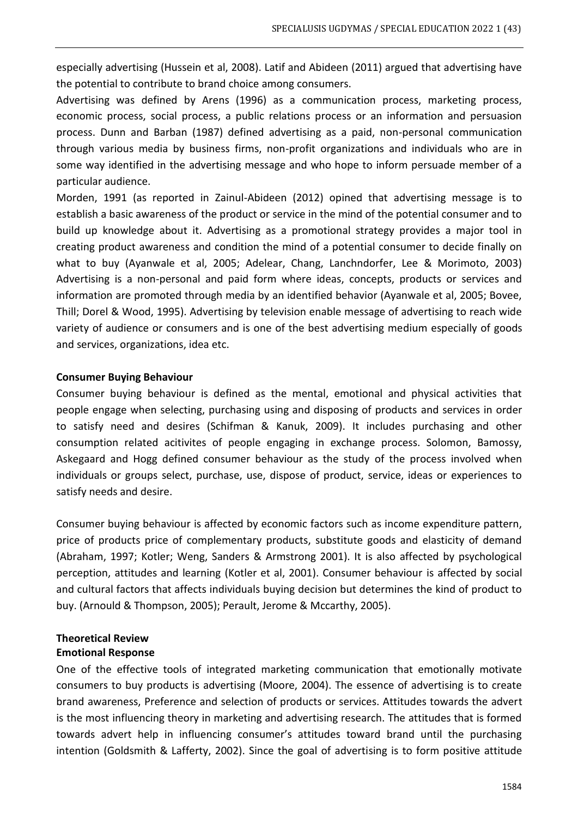especially advertising (Hussein et al, 2008). Latif and Abideen (2011) argued that advertising have the potential to contribute to brand choice among consumers.

Advertising was defined by Arens (1996) as a communication process, marketing process, economic process, social process, a public relations process or an information and persuasion process. Dunn and Barban (1987) defined advertising as a paid, non-personal communication through various media by business firms, non-profit organizations and individuals who are in some way identified in the advertising message and who hope to inform persuade member of a particular audience.

Morden, 1991 (as reported in Zainul-Abideen (2012) opined that advertising message is to establish a basic awareness of the product or service in the mind of the potential consumer and to build up knowledge about it. Advertising as a promotional strategy provides a major tool in creating product awareness and condition the mind of a potential consumer to decide finally on what to buy (Ayanwale et al, 2005; Adelear, Chang, Lanchndorfer, Lee & Morimoto, 2003) Advertising is a non-personal and paid form where ideas, concepts, products or services and information are promoted through media by an identified behavior (Ayanwale et al, 2005; Bovee, Thill; Dorel & Wood, 1995). Advertising by television enable message of advertising to reach wide variety of audience or consumers and is one of the best advertising medium especially of goods and services, organizations, idea etc.

#### **Consumer Buying Behaviour**

Consumer buying behaviour is defined as the mental, emotional and physical activities that people engage when selecting, purchasing using and disposing of products and services in order to satisfy need and desires (Schifman & Kanuk, 2009). It includes purchasing and other consumption related acitivites of people engaging in exchange process. Solomon, Bamossy, Askegaard and Hogg defined consumer behaviour as the study of the process involved when individuals or groups select, purchase, use, dispose of product, service, ideas or experiences to satisfy needs and desire.

Consumer buying behaviour is affected by economic factors such as income expenditure pattern, price of products price of complementary products, substitute goods and elasticity of demand (Abraham, 1997; Kotler; Weng, Sanders & Armstrong 2001). It is also affected by psychological perception, attitudes and learning (Kotler et al, 2001). Consumer behaviour is affected by social and cultural factors that affects individuals buying decision but determines the kind of product to buy. (Arnould & Thompson, 2005); Perault, Jerome & Mccarthy, 2005).

## **Theoretical Review**

## **Emotional Response**

One of the effective tools of integrated marketing communication that emotionally motivate consumers to buy products is advertising (Moore, 2004). The essence of advertising is to create brand awareness, Preference and selection of products or services. Attitudes towards the advert is the most influencing theory in marketing and advertising research. The attitudes that is formed towards advert help in influencing consumer's attitudes toward brand until the purchasing intention (Goldsmith & Lafferty, 2002). Since the goal of advertising is to form positive attitude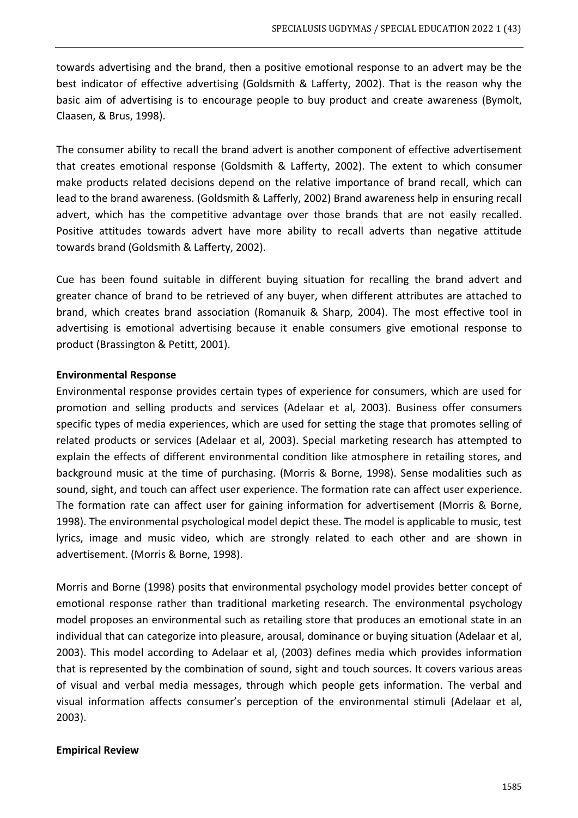towards advertising and the brand, then a positive emotional response to an advert may be the best indicator of effective advertising (Goldsmith & Lafferty, 2002). That is the reason why the basic aim of advertising is to encourage people to buy product and create awareness (Bymolt, Claasen, & Brus, 1998).

The consumer ability to recall the brand advert is another component of effective advertisement that creates emotional response (Goldsmith & Lafferty, 2002). The extent to which consumer make products related decisions depend on the relative importance of brand recall, which can lead to the brand awareness. (Goldsmith & Lafferly, 2002) Brand awareness help in ensuring recall advert, which has the competitive advantage over those brands that are not easily recalled. Positive attitudes towards advert have more ability to recall adverts than negative attitude towards brand (Goldsmith & Lafferty, 2002).

Cue has been found suitable in different buying situation for recalling the brand advert and greater chance of brand to be retrieved of any buyer, when different attributes are attached to brand, which creates brand association (Romanuik & Sharp, 2004). The most effective tool in advertising is emotional advertising because it enable consumers give emotional response to product (Brassington & Petitt, 2001).

#### **Environmental Response**

Environmental response provides certain types of experience for consumers, which are used for promotion and selling products and services (Adelaar et al, 2003). Business offer consumers specific types of media experiences, which are used for setting the stage that promotes selling of related products or services (Adelaar et al, 2003). Special marketing research has attempted to explain the effects of different environmental condition like atmosphere in retailing stores, and background music at the time of purchasing. (Morris & Borne, 1998). Sense modalities such as sound, sight, and touch can affect user experience. The formation rate can affect user experience. The formation rate can affect user for gaining information for advertisement (Morris & Borne, 1998). The environmental psychological model depict these. The model is applicable to music, test lyrics, image and music video, which are strongly related to each other and are shown in advertisement. (Morris & Borne, 1998).

Morris and Borne (1998) posits that environmental psychology model provides better concept of emotional response rather than traditional marketing research. The environmental psychology model proposes an environmental such as retailing store that produces an emotional state in an individual that can categorize into pleasure, arousal, dominance or buying situation (Adelaar et al, 2003). This model according to Adelaar et al, (2003) defines media which provides information that is represented by the combination of sound, sight and touch sources. It covers various areas of visual and verbal media messages, through which people gets information. The verbal and visual information affects consumer's perception of the environmental stimuli (Adelaar et al, 2003).

#### **Empirical Review**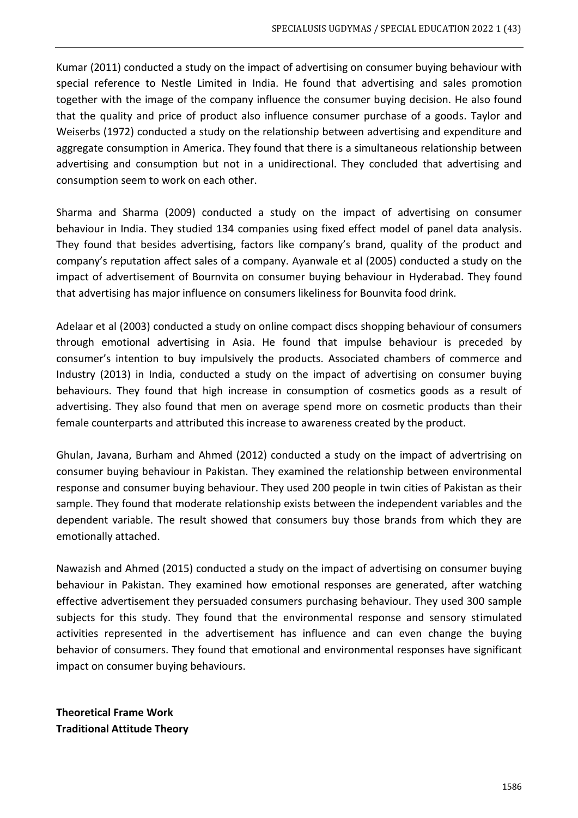Kumar (2011) conducted a study on the impact of advertising on consumer buying behaviour with special reference to Nestle Limited in India. He found that advertising and sales promotion together with the image of the company influence the consumer buying decision. He also found that the quality and price of product also influence consumer purchase of a goods. Taylor and Weiserbs (1972) conducted a study on the relationship between advertising and expenditure and aggregate consumption in America. They found that there is a simultaneous relationship between advertising and consumption but not in a unidirectional. They concluded that advertising and consumption seem to work on each other.

Sharma and Sharma (2009) conducted a study on the impact of advertising on consumer behaviour in India. They studied 134 companies using fixed effect model of panel data analysis. They found that besides advertising, factors like company's brand, quality of the product and company's reputation affect sales of a company. Ayanwale et al (2005) conducted a study on the impact of advertisement of Bournvita on consumer buying behaviour in Hyderabad. They found that advertising has major influence on consumers likeliness for Bounvita food drink.

Adelaar et al (2003) conducted a study on online compact discs shopping behaviour of consumers through emotional advertising in Asia. He found that impulse behaviour is preceded by consumer's intention to buy impulsively the products. Associated chambers of commerce and Industry (2013) in India, conducted a study on the impact of advertising on consumer buying behaviours. They found that high increase in consumption of cosmetics goods as a result of advertising. They also found that men on average spend more on cosmetic products than their female counterparts and attributed this increase to awareness created by the product.

Ghulan, Javana, Burham and Ahmed (2012) conducted a study on the impact of advertrising on consumer buying behaviour in Pakistan. They examined the relationship between environmental response and consumer buying behaviour. They used 200 people in twin cities of Pakistan as their sample. They found that moderate relationship exists between the independent variables and the dependent variable. The result showed that consumers buy those brands from which they are emotionally attached.

Nawazish and Ahmed (2015) conducted a study on the impact of advertising on consumer buying behaviour in Pakistan. They examined how emotional responses are generated, after watching effective advertisement they persuaded consumers purchasing behaviour. They used 300 sample subjects for this study. They found that the environmental response and sensory stimulated activities represented in the advertisement has influence and can even change the buying behavior of consumers. They found that emotional and environmental responses have significant impact on consumer buying behaviours.

**Theoretical Frame Work Traditional Attitude Theory**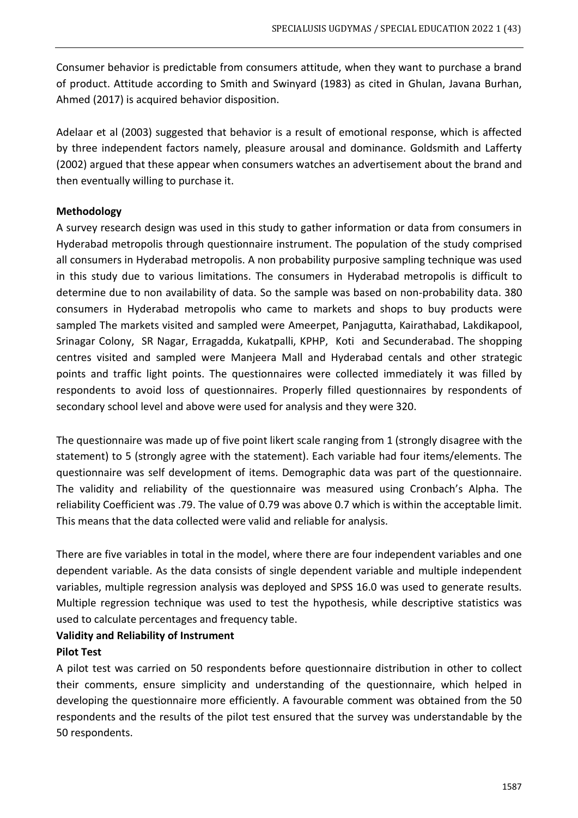Consumer behavior is predictable from consumers attitude, when they want to purchase a brand of product. Attitude according to Smith and Swinyard (1983) as cited in Ghulan, Javana Burhan, Ahmed (2017) is acquired behavior disposition.

Adelaar et al (2003) suggested that behavior is a result of emotional response, which is affected by three independent factors namely, pleasure arousal and dominance. Goldsmith and Lafferty (2002) argued that these appear when consumers watches an advertisement about the brand and then eventually willing to purchase it.

## **Methodology**

A survey research design was used in this study to gather information or data from consumers in Hyderabad metropolis through questionnaire instrument. The population of the study comprised all consumers in Hyderabad metropolis. A non probability purposive sampling technique was used in this study due to various limitations. The consumers in Hyderabad metropolis is difficult to determine due to non availability of data. So the sample was based on non-probability data. 380 consumers in Hyderabad metropolis who came to markets and shops to buy products were sampled The markets visited and sampled were Ameerpet, Panjagutta, Kairathabad, Lakdikapool, Srinagar Colony, SR Nagar, Erragadda, Kukatpalli, KPHP, Koti and Secunderabad. The shopping centres visited and sampled were Manjeera Mall and Hyderabad centals and other strategic points and traffic light points. The questionnaires were collected immediately it was filled by respondents to avoid loss of questionnaires. Properly filled questionnaires by respondents of secondary school level and above were used for analysis and they were 320.

The questionnaire was made up of five point likert scale ranging from 1 (strongly disagree with the statement) to 5 (strongly agree with the statement). Each variable had four items/elements. The questionnaire was self development of items. Demographic data was part of the questionnaire. The validity and reliability of the questionnaire was measured using Cronbach's Alpha. The reliability Coefficient was .79. The value of 0.79 was above 0.7 which is within the acceptable limit. This means that the data collected were valid and reliable for analysis.

There are five variables in total in the model, where there are four independent variables and one dependent variable. As the data consists of single dependent variable and multiple independent variables, multiple regression analysis was deployed and SPSS 16.0 was used to generate results. Multiple regression technique was used to test the hypothesis, while descriptive statistics was used to calculate percentages and frequency table.

# **Validity and Reliability of Instrument**

## **Pilot Test**

A pilot test was carried on 50 respondents before questionnaire distribution in other to collect their comments, ensure simplicity and understanding of the questionnaire, which helped in developing the questionnaire more efficiently. A favourable comment was obtained from the 50 respondents and the results of the pilot test ensured that the survey was understandable by the 50 respondents.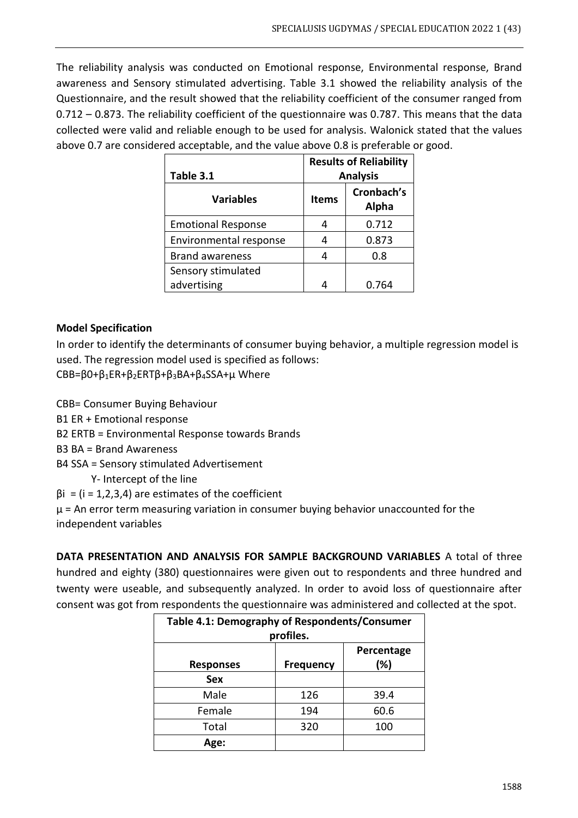The reliability analysis was conducted on Emotional response, Environmental response, Brand awareness and Sensory stimulated advertising. Table 3.1 showed the reliability analysis of the Questionnaire, and the result showed that the reliability coefficient of the consumer ranged from 0.712 – 0.873. The reliability coefficient of the questionnaire was 0.787. This means that the data collected were valid and reliable enough to be used for analysis. Walonick stated that the values above 0.7 are considered acceptable, and the value above 0.8 is preferable or good.

| Table 3.1                 | <b>Results of Reliability</b><br><b>Analysis</b> |                     |  |
|---------------------------|--------------------------------------------------|---------------------|--|
| <b>Variables</b>          | <b>Items</b>                                     | Cronbach's<br>Alpha |  |
| <b>Emotional Response</b> |                                                  | 0.712               |  |
| Environmental response    |                                                  | 0.873               |  |
| <b>Brand awareness</b>    | Δ                                                | 0.8                 |  |
| Sensory stimulated        |                                                  |                     |  |
| advertising               |                                                  | 0.764               |  |

## **Model Specification**

In order to identify the determinants of consumer buying behavior, a multiple regression model is used. The regression model used is specified as follows: CBB=β0+β1ER+β2ERTβ+β3BA+β4SSA+µ Where

CBB= Consumer Buying Behaviour

- B1 ER + Emotional response
- B2 ERTB = Environmental Response towards Brands
- B3 BA = Brand Awareness
- B4 SSA = Sensory stimulated Advertisement

Y- Intercept of the line

 $βi = (i = 1, 2, 3, 4)$  are estimates of the coefficient

 $\mu$  = An error term measuring variation in consumer buying behavior unaccounted for the independent variables

**DATA PRESENTATION AND ANALYSIS FOR SAMPLE BACKGROUND VARIABLES** A total of three hundred and eighty (380) questionnaires were given out to respondents and three hundred and twenty were useable, and subsequently analyzed. In order to avoid loss of questionnaire after consent was got from respondents the questionnaire was administered and collected at the spot.

| Table 4.1: Demography of Respondents/Consumer             |           |      |  |  |  |
|-----------------------------------------------------------|-----------|------|--|--|--|
|                                                           | profiles. |      |  |  |  |
| Percentage<br>(%)<br><b>Responses</b><br><b>Frequency</b> |           |      |  |  |  |
| Sex                                                       |           |      |  |  |  |
| Male                                                      | 126       | 39.4 |  |  |  |
| Female                                                    | 194       | 60.6 |  |  |  |
| Total                                                     | 320       | 100  |  |  |  |
| Age:                                                      |           |      |  |  |  |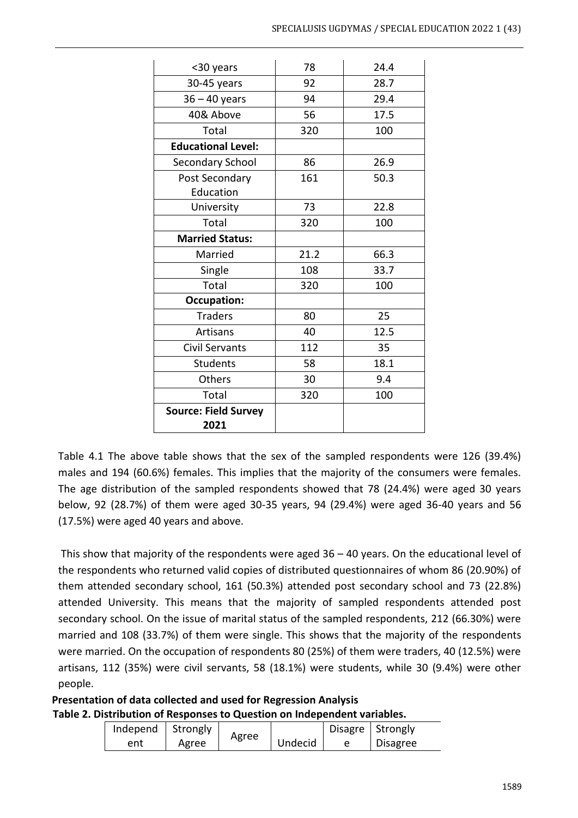| <30 years                   | 78   | 24.4 |
|-----------------------------|------|------|
| 30-45 years                 | 92   | 28.7 |
| $36 - 40$ years             | 94   | 29.4 |
| 40& Above                   | 56   | 17.5 |
| Total                       | 320  | 100  |
| <b>Educational Level:</b>   |      |      |
| Secondary School            | 86   | 26.9 |
| Post Secondary              | 161  | 50.3 |
| Education                   |      |      |
| University                  | 73   | 22.8 |
| Total                       | 320  | 100  |
| <b>Married Status:</b>      |      |      |
| Married                     | 21.2 | 66.3 |
| Single                      | 108  | 33.7 |
| Total                       | 320  | 100  |
| <b>Occupation:</b>          |      |      |
| <b>Traders</b>              | 80   | 25   |
| Artisans                    | 40   | 12.5 |
| <b>Civil Servants</b>       | 112  | 35   |
| <b>Students</b>             | 58   | 18.1 |
| Others                      | 30   | 9.4  |
| Total                       | 320  | 100  |
| <b>Source: Field Survey</b> |      |      |
| 2021                        |      |      |

Table 4.1 The above table shows that the sex of the sampled respondents were 126 (39.4%) males and 194 (60.6%) females. This implies that the majority of the consumers were females. The age distribution of the sampled respondents showed that 78 (24.4%) were aged 30 years below, 92 (28.7%) of them were aged 30-35 years, 94 (29.4%) were aged 36-40 years and 56 (17.5%) were aged 40 years and above.

This show that majority of the respondents were aged 36 – 40 years. On the educational level of the respondents who returned valid copies of distributed questionnaires of whom 86 (20.90%) of them attended secondary school, 161 (50.3%) attended post secondary school and 73 (22.8%) attended University. This means that the majority of sampled respondents attended post secondary school. On the issue of marital status of the sampled respondents, 212 (66.30%) were married and 108 (33.7%) of them were single. This shows that the majority of the respondents were married. On the occupation of respondents 80 (25%) of them were traders, 40 (12.5%) were artisans, 112 (35%) were civil servants, 58 (18.1%) were students, while 30 (9.4%) were other people.

**Presentation of data collected and used for Regression Analysis Table 2. Distribution of Responses to Question on Independent variables.**

| Independ | Strongly |       |         | Disagre   Strongly |                 |
|----------|----------|-------|---------|--------------------|-----------------|
| ent      | Agree    | Agree | Undecid |                    | <b>Disagree</b> |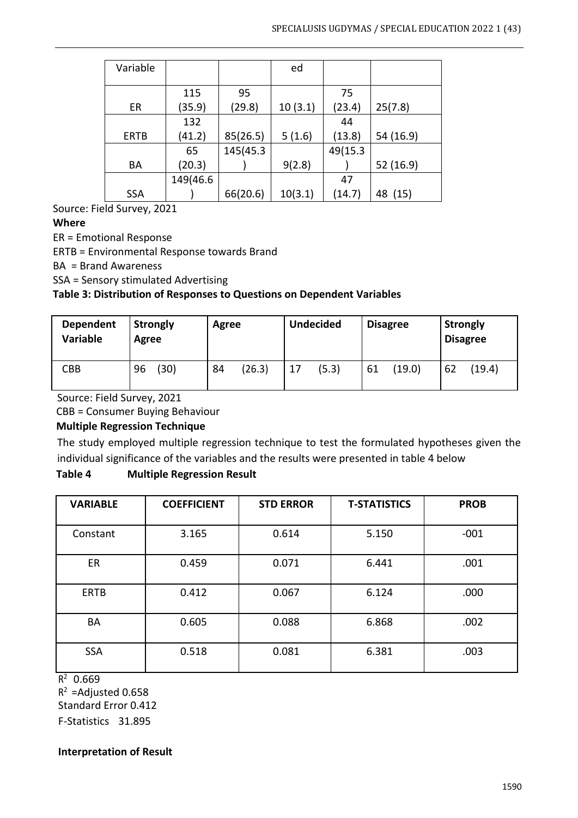| Variable   |          |          | ed      |         |            |
|------------|----------|----------|---------|---------|------------|
|            |          |          |         |         |            |
|            | 115      | 95       |         | 75      |            |
| ER         | (35.9)   | (29.8)   | 10(3.1) | (23.4)  | 25(7.8)    |
|            | 132      |          |         | 44      |            |
| ERTB       | (41.2)   | 85(26.5) | 5(1.6)  | (13.8)  | 54 (16.9)  |
|            | 65       | 145(45.3 |         | 49(15.3 |            |
| BA         | (20.3)   |          | 9(2.8)  |         | 52 (16.9)  |
|            | 149(46.6 |          |         | 47      |            |
| <b>SSA</b> |          | 66(20.6) | 10(3.1) | (14.7)  | (15)<br>48 |

Source: Field Survey, 2021

## **Where**

ER = Emotional Response

ERTB = Environmental Response towards Brand

BA = Brand Awareness

SSA = Sensory stimulated Advertising

## **Table 3: Distribution of Responses to Questions on Dependent Variables**

| <b>Dependent</b><br>Variable | <b>Strongly</b><br>Agree | Agree  | <b>Undecided</b> | <b>Disagree</b> | <b>Strongly</b><br><b>Disagree</b> |
|------------------------------|--------------------------|--------|------------------|-----------------|------------------------------------|
| <b>CBB</b>                   | (30)                     | (26.3) | (5.3)            | (19.0)          | (19.4)                             |
|                              | 96                       | 84     | 17               | 61              | 62                                 |

Source: Field Survey, 2021

CBB = Consumer Buying Behaviour

## **Multiple Regression Technique**

The study employed multiple regression technique to test the formulated hypotheses given the individual significance of the variables and the results were presented in table 4 below

## **Table 4 Multiple Regression Result**

| <b>VARIABLE</b> | <b>COEFFICIENT</b> | <b>STD ERROR</b> | <b>T-STATISTICS</b> | <b>PROB</b> |
|-----------------|--------------------|------------------|---------------------|-------------|
| Constant        | 3.165              | 0.614            | 5.150               | $-001$      |
| ER              | 0.459              | 0.071            | 6.441               | .001        |
| <b>ERTB</b>     | 0.412              | 0.067            | 6.124               | .000        |
| BA              | 0.605              | 0.088            | 6.868               | .002        |
| <b>SSA</b>      | 0.518              | 0.081            | 6.381               | .003        |

 $R^2$  0.669

 $R^2$  =Adjusted 0.658 Standard Error 0.412

F-Statistics 31.895

## **Interpretation of Result**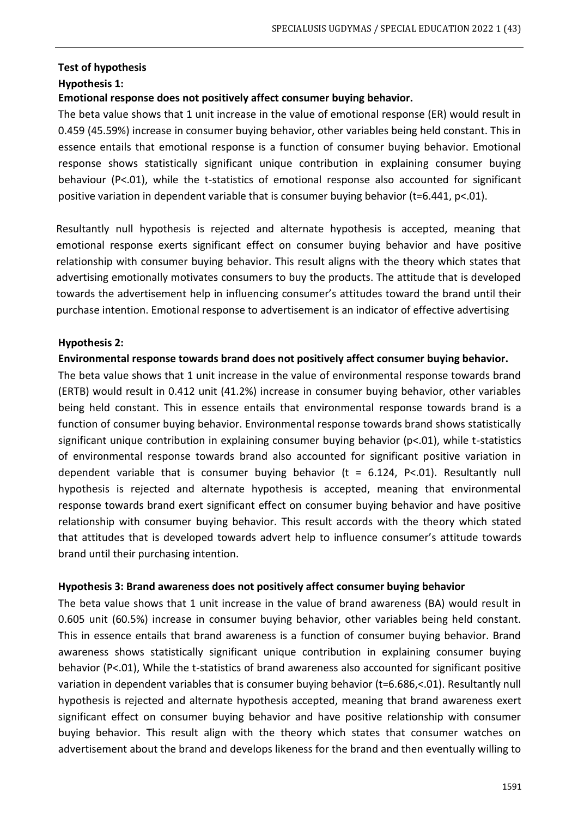## **Test of hypothesis**

## **Hypothesis 1:**

## **Emotional response does not positively affect consumer buying behavior.**

The beta value shows that 1 unit increase in the value of emotional response (ER) would result in 0.459 (45.59%) increase in consumer buying behavior, other variables being held constant. This in essence entails that emotional response is a function of consumer buying behavior. Emotional response shows statistically significant unique contribution in explaining consumer buying behaviour (P<.01), while the t-statistics of emotional response also accounted for significant positive variation in dependent variable that is consumer buying behavior (t=6.441, p<.01).

Resultantly null hypothesis is rejected and alternate hypothesis is accepted, meaning that emotional response exerts significant effect on consumer buying behavior and have positive relationship with consumer buying behavior. This result aligns with the theory which states that advertising emotionally motivates consumers to buy the products. The attitude that is developed towards the advertisement help in influencing consumer's attitudes toward the brand until their purchase intention. Emotional response to advertisement is an indicator of effective advertising

## **Hypothesis 2:**

#### **Environmental response towards brand does not positively affect consumer buying behavior.**

The beta value shows that 1 unit increase in the value of environmental response towards brand (ERTB) would result in 0.412 unit (41.2%) increase in consumer buying behavior, other variables being held constant. This in essence entails that environmental response towards brand is a function of consumer buying behavior. Environmental response towards brand shows statistically significant unique contribution in explaining consumer buying behavior (p<.01), while t-statistics of environmental response towards brand also accounted for significant positive variation in dependent variable that is consumer buying behavior ( $t = 6.124$ ,  $P < 01$ ). Resultantly null hypothesis is rejected and alternate hypothesis is accepted, meaning that environmental response towards brand exert significant effect on consumer buying behavior and have positive relationship with consumer buying behavior. This result accords with the theory which stated that attitudes that is developed towards advert help to influence consumer's attitude towards brand until their purchasing intention.

## **Hypothesis 3: Brand awareness does not positively affect consumer buying behavior**

The beta value shows that 1 unit increase in the value of brand awareness (BA) would result in 0.605 unit (60.5%) increase in consumer buying behavior, other variables being held constant. This in essence entails that brand awareness is a function of consumer buying behavior. Brand awareness shows statistically significant unique contribution in explaining consumer buying behavior (P<.01), While the t-statistics of brand awareness also accounted for significant positive variation in dependent variables that is consumer buying behavior (t=6.686,<.01). Resultantly null hypothesis is rejected and alternate hypothesis accepted, meaning that brand awareness exert significant effect on consumer buying behavior and have positive relationship with consumer buying behavior. This result align with the theory which states that consumer watches on advertisement about the brand and develops likeness for the brand and then eventually willing to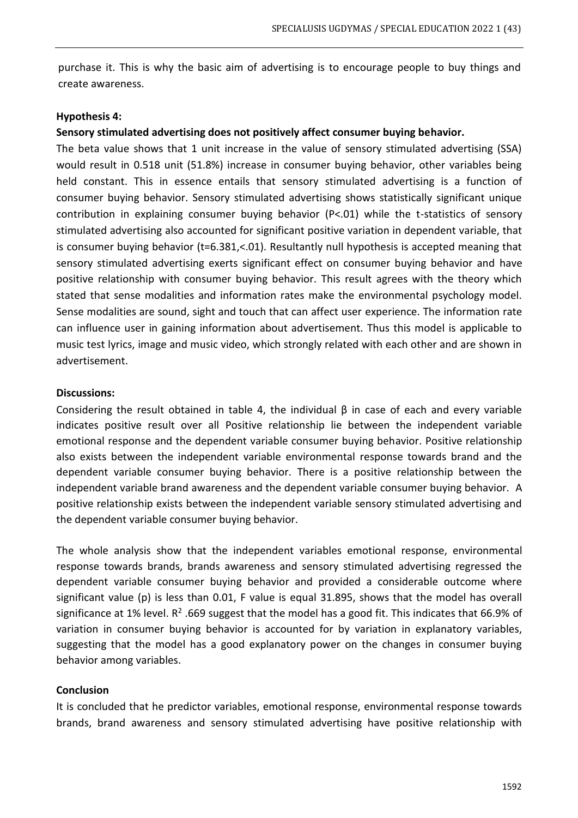purchase it. This is why the basic aim of advertising is to encourage people to buy things and create awareness.

#### **Hypothesis 4:**

#### **Sensory stimulated advertising does not positively affect consumer buying behavior.**

The beta value shows that 1 unit increase in the value of sensory stimulated advertising (SSA) would result in 0.518 unit (51.8%) increase in consumer buying behavior, other variables being held constant. This in essence entails that sensory stimulated advertising is a function of consumer buying behavior. Sensory stimulated advertising shows statistically significant unique contribution in explaining consumer buying behavior (P<.01) while the t-statistics of sensory stimulated advertising also accounted for significant positive variation in dependent variable, that is consumer buying behavior (t=6.381,<.01). Resultantly null hypothesis is accepted meaning that sensory stimulated advertising exerts significant effect on consumer buying behavior and have positive relationship with consumer buying behavior. This result agrees with the theory which stated that sense modalities and information rates make the environmental psychology model. Sense modalities are sound, sight and touch that can affect user experience. The information rate can influence user in gaining information about advertisement. Thus this model is applicable to music test lyrics, image and music video, which strongly related with each other and are shown in advertisement.

#### **Discussions:**

Considering the result obtained in table 4, the individual β in case of each and every variable indicates positive result over all Positive relationship lie between the independent variable emotional response and the dependent variable consumer buying behavior. Positive relationship also exists between the independent variable environmental response towards brand and the dependent variable consumer buying behavior. There is a positive relationship between the independent variable brand awareness and the dependent variable consumer buying behavior. A positive relationship exists between the independent variable sensory stimulated advertising and the dependent variable consumer buying behavior.

The whole analysis show that the independent variables emotional response, environmental response towards brands, brands awareness and sensory stimulated advertising regressed the dependent variable consumer buying behavior and provided a considerable outcome where significant value (p) is less than 0.01, F value is equal 31.895, shows that the model has overall significance at 1% level.  $R^2$  .669 suggest that the model has a good fit. This indicates that 66.9% of variation in consumer buying behavior is accounted for by variation in explanatory variables, suggesting that the model has a good explanatory power on the changes in consumer buying behavior among variables.

## **Conclusion**

It is concluded that he predictor variables, emotional response, environmental response towards brands, brand awareness and sensory stimulated advertising have positive relationship with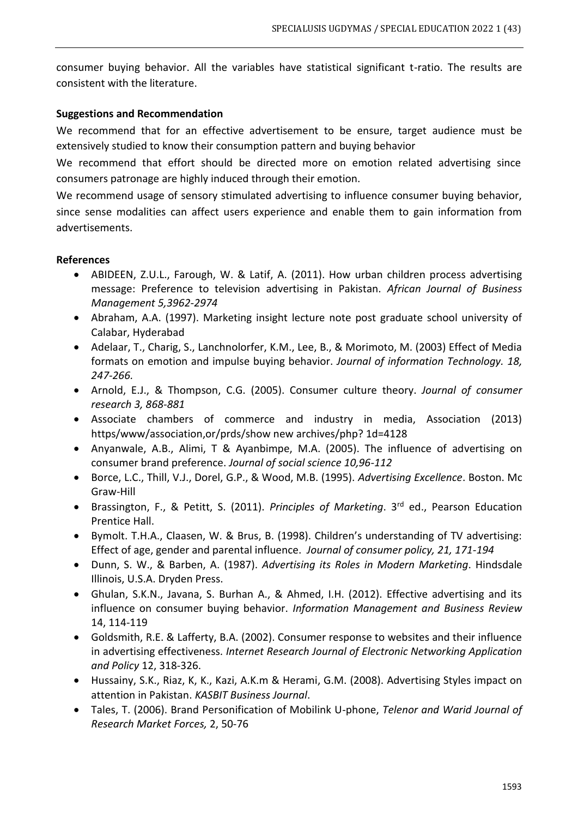consumer buying behavior. All the variables have statistical significant t-ratio. The results are consistent with the literature.

## **Suggestions and Recommendation**

We recommend that for an effective advertisement to be ensure, target audience must be extensively studied to know their consumption pattern and buying behavior

We recommend that effort should be directed more on emotion related advertising since consumers patronage are highly induced through their emotion.

We recommend usage of sensory stimulated advertising to influence consumer buying behavior, since sense modalities can affect users experience and enable them to gain information from advertisements.

## **References**

- ABIDEEN, Z.U.L., Farough, W. & Latif, A. (2011). How urban children process advertising message: Preference to television advertising in Pakistan. *African Journal of Business Management 5,3962-2974*
- Abraham, A.A. (1997). Marketing insight lecture note post graduate school university of Calabar, Hyderabad
- Adelaar, T., Charig, S., Lanchnolorfer, K.M., Lee, B., & Morimoto, M. (2003) Effect of Media formats on emotion and impulse buying behavior. *Journal of information Technology. 18, 247-266.*
- Arnold, E.J., & Thompson, C.G. (2005). Consumer culture theory. *Journal of consumer research 3, 868-881*
- Associate chambers of commerce and industry in media, Association (2013) https/www/association,or/prds/show new archives/php? 1d=4128
- Anyanwale, A.B., Alimi, T & Ayanbimpe, M.A. (2005). The influence of advertising on consumer brand preference. *Journal of social science 10,96-112*
- Borce, L.C., Thill, V.J., Dorel, G.P., & Wood, M.B. (1995). *Advertising Excellence*. Boston. Mc Graw-Hill
- Brassington, F., & Petitt, S. (2011). *Principles of Marketing*. 3rd ed., Pearson Education Prentice Hall.
- Bymolt. T.H.A., Claasen, W. & Brus, B. (1998). Children's understanding of TV advertising: Effect of age, gender and parental influence. *Journal of consumer policy, 21, 171-194*
- Dunn, S. W., & Barben, A. (1987). *Advertising its Roles in Modern Marketing*. Hindsdale Illinois, U.S.A. Dryden Press.
- Ghulan, S.K.N., Javana, S. Burhan A., & Ahmed, I.H. (2012). Effective advertising and its influence on consumer buying behavior. *Information Management and Business Review* 14, 114-119
- Goldsmith, R.E. & Lafferty, B.A. (2002). Consumer response to websites and their influence in advertising effectiveness. *Internet Research Journal of Electronic Networking Application and Policy* 12, 318-326.
- Hussainy, S.K., Riaz, K, K., Kazi, A.K.m & Herami, G.M. (2008). Advertising Styles impact on attention in Pakistan. *KASBIT Business Journal*.
- Tales, T. (2006). Brand Personification of Mobilink U-phone, *Telenor and Warid Journal of Research Market Forces,* 2, 50-76